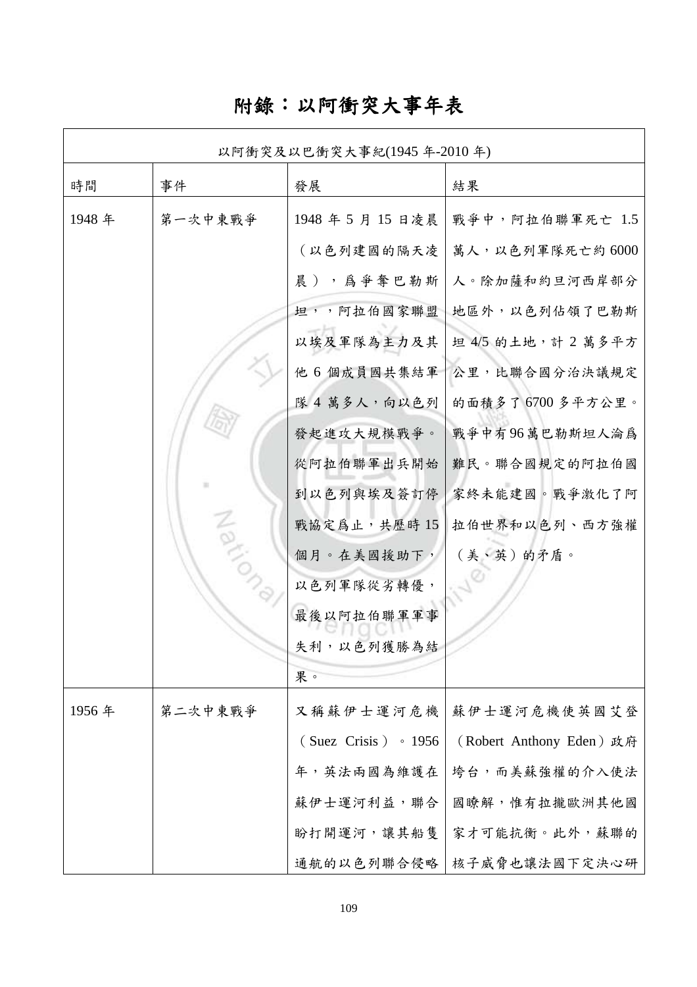# 附錄:以阿衝突大事年表

| 以阿衝突及以巴衝突大事紀(1945年-2010年) |         |                            |                          |
|---------------------------|---------|----------------------------|--------------------------|
| 時間                        | 事件      | 發展                         | 結果                       |
| 1948年                     | 第一次中東戰爭 | 1948年5月15日凌晨               | 戰爭中,阿拉伯聯軍死亡 1.5          |
|                           |         | (以色列建國的隔天凌                 | 萬人,以色列軍隊死亡約6000          |
|                           |         | 晨),為爭奪巴勒斯                  | 人。除加薩和約旦河西岸部分            |
|                           |         | 坦,,阿拉伯國家聯盟                 | 地區外,以色列佔領了巴勒斯            |
|                           |         | 以埃及軍隊為主力及其                 | 坦 4/5 的土地, 計 2 萬多平方      |
|                           |         | 他 6 個成員國共集結軍               | 公里,比聯合國分治決議規定            |
|                           |         | 隊 4萬多人,向以色列                | 的面積多了6700多平方公里。          |
|                           |         | 發起進攻大規模戰爭。                 | 戰爭中有96萬巴勒斯坦人淪爲           |
|                           |         | 從阿拉伯聯軍出兵開始                 | 難民。聯合國規定的阿拉伯國            |
|                           |         | 到以色列與埃及簽訂停                 | 家終未能建國。戰爭激化了阿            |
|                           | Natic   | 戰協定為止,共歷時15                | 拉伯世界和以色列、西方強權            |
|                           |         | 個月。在美國援助下,                 | (美、英)的矛盾。                |
|                           |         | 以色列軍隊從劣轉優,                 |                          |
|                           |         | 最後以阿拉伯聯軍軍事                 |                          |
|                           |         | 失利,以色列獲勝為結                 |                          |
|                           |         | 果。                         |                          |
| 1956年                     | 第二次中東戰爭 | 又稱蘇伊士運河危機                  | 蘇伊士運河危機使英國艾登             |
|                           |         | $(Suez Crisis) \cdot 1956$ | (Robert Anthony Eden) 政府 |
|                           |         | 年,英法兩國為維護在                 | 垮台,而美蘇強權的介入使法            |
|                           |         | 蘇伊士運河利益,聯合                 | 國瞭解,惟有拉攏歐洲其他國            |
|                           |         | 盼打開運河,讓其船隻                 | 家才可能抗衡。此外,蘇聯的            |
|                           |         | 通航的以色列聯合侵略                 | 核子威脅也讓法國下定決心研            |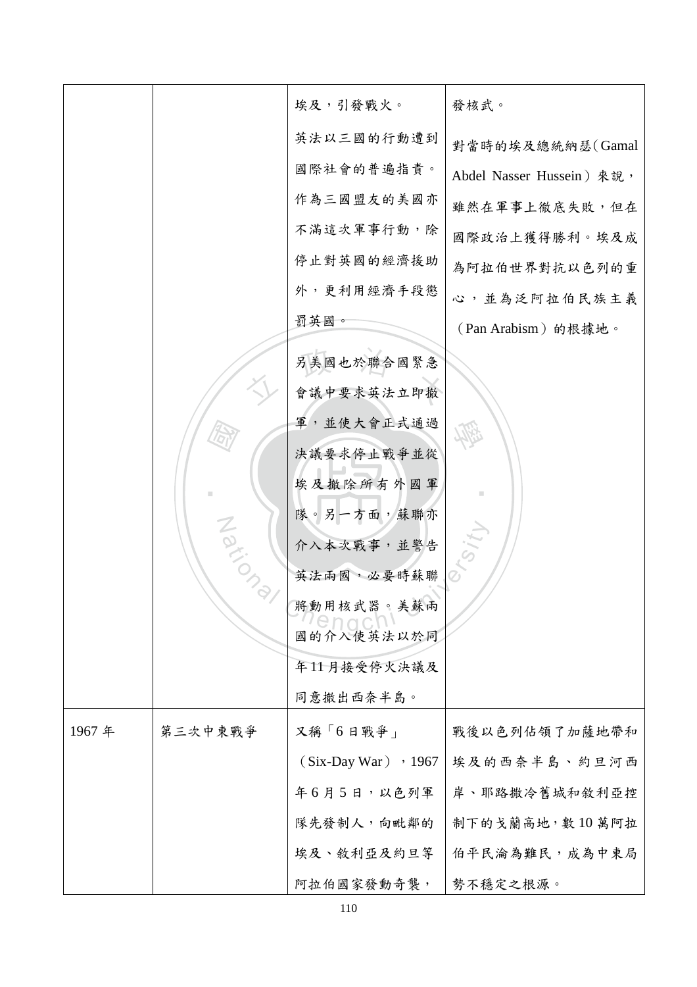|       |         | 埃及,引發戰火。                   | 發核武。                      |
|-------|---------|----------------------------|---------------------------|
|       |         | 英法以三國的行動遭到                 | 對當時的埃及總統納瑟(Gamal          |
|       |         | 國際社會的普遍指責。                 | Abdel Nasser Hussein) 來說, |
|       |         | 作為三國盟友的美國亦                 | 雖然在軍事上徹底失敗, 但在            |
|       |         | 不滿這次軍事行動,除                 | 國際政治上獲得勝利。埃及成             |
|       |         | 停止對英國的經濟援助                 | 為阿拉伯世界對抗以色列的重             |
|       |         | 外,更利用經濟手段懲                 | 心,並為泛阿拉伯民族主義              |
|       |         | 罰英國。                       | (Pan Arabism) 的根據地。       |
|       |         | 另美國也於聯合國緊急                 |                           |
|       |         | 會議中要求英法立即撤                 |                           |
|       |         | 軍,並使大會正式通過                 |                           |
|       |         | 決議要求停止戰爭並從                 |                           |
|       |         | 埃及撤除所有外國軍                  |                           |
|       |         | 隊。另一方面,蘇聯亦                 |                           |
|       |         | 介入本次戰事,並警告                 |                           |
|       | Nation  | 英法兩國,必要時蘇聯                 |                           |
|       |         | 將動用核武器。美蘇兩                 |                           |
|       |         | $D \cap C$<br>國的介入使英法以於同   |                           |
|       |         | 年11月接受停火決議及                |                           |
|       |         | 同意撤出西奈半島。                  |                           |
| 1967年 | 第三次中東戰爭 | 又稱「6日戰爭」                   | 戰後以色列佔領了加薩地帶和             |
|       |         | $(Six$ -Day War $)$ , 1967 | 埃及的西奈半島、約旦河西              |
|       |         | 年6月5日,以色列軍                 | 岸、耶路撒冷舊城和敘利亞控             |
|       |         | 隊先發制人,向毗鄰的                 | 制下的戈蘭高地,數10萬阿拉            |
|       |         | 埃及、敘利亞及約旦等                 | 伯平民淪為難民, 成為中東局            |
|       |         | 阿拉伯國家發動奇襲,                 | 勢不穩定之根源。                  |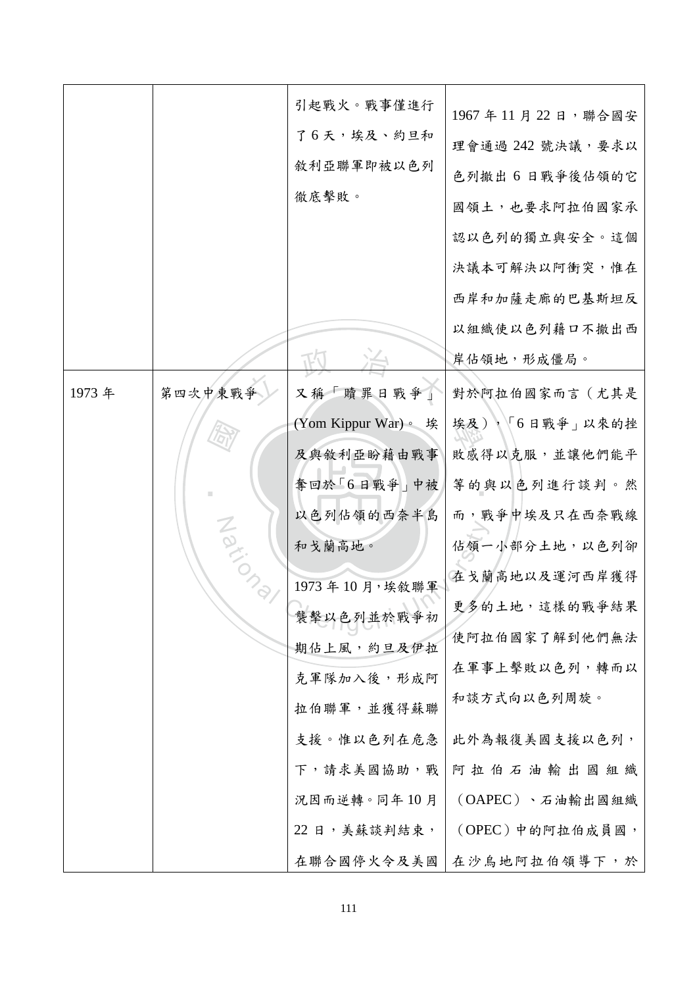|        |         | 引起戰火。戰事僅進行<br>了6天,埃及、約旦和<br>敘利亞聯軍即被以色列<br>徹底擊敗。                      | 1967年11月22日,聯合國安<br>理會通過 242 號決議,要求以<br>色列撤出 6 日戰爭後佔領的它<br>國領土,也要求阿拉伯國家承<br>認以色列的獨立與安全。這個 |
|--------|---------|----------------------------------------------------------------------|-------------------------------------------------------------------------------------------|
|        |         |                                                                      | 決議本可解決以阿衝突,惟在<br>西岸和加薩走廊的巴基斯坦反<br>以組織使以色列藉口不撤出西<br>岸佔領地,形成僵局。                             |
| 1973 年 | 第四次中東戰爭 | 又稱「贖罪日戰爭」<br>(Yom Kippur War)。 埃                                     | 對於阿拉伯國家而言(尤其是<br>埃及),「6日戰爭」以來的挫                                                           |
|        | Nario   | 及與敘利亞盼藉由戰事<br>奪回於「6日戰爭」中被<br>以色列佔領的西奈半島<br>和戈蘭高地。                    | 敗感得以克服,並讓他們能平<br>等的與以色列進行談判。然<br>而, 戰爭中埃及只在西奈戰線<br>佔領一小部分土地,以色列卻                          |
|        |         | 1973年10月,埃敘聯軍<br>襲擊以色列並於戰爭初<br>期佔上風,約旦及伊拉<br>克軍隊加入後,形成阿              | 在戈蘭高地以及運河西岸獲得<br>更多的土地,這樣的戰爭結果<br>使阿拉伯國家了解到他們無法<br>在軍事上擊敗以色列,轉而以                          |
|        |         | 拉伯聯軍,並獲得蘇聯<br>支援。惟以色列在危急<br>下,請求美國協助,戰<br>況因而逆轉。同年10月<br>22日,美蘇談判結束, | 和談方式向以色列周旋。<br>此外為報復美國支援以色列,<br>阿拉伯石油輸出國組織<br>(OAPEC)、石油輸出國組織<br>(OPEC)中的阿拉伯成員國,          |
|        |         | 在聯合國停火令及美國                                                           | 在沙烏地阿拉伯領導下,於                                                                              |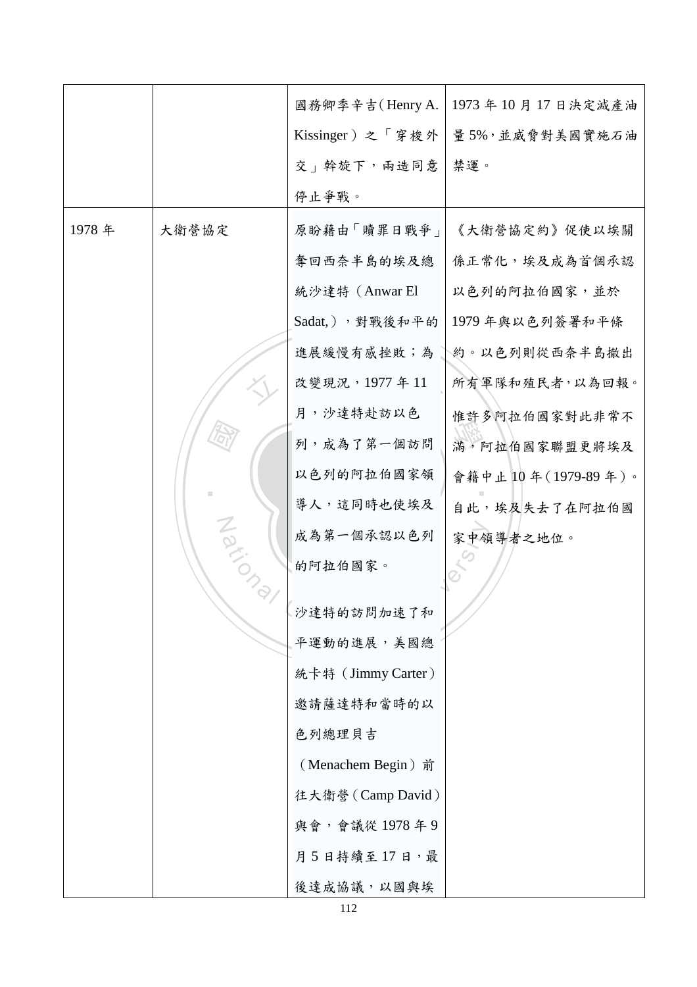|       |                           | 國務卿季辛吉(Henry A.    | 1973年10月17日決定減產油     |
|-------|---------------------------|--------------------|----------------------|
|       |                           | Kissinger)之「穿梭外    | 量5%,並威脅對美國實施石油       |
|       |                           | 交   斡旋下, 兩造同意      | 禁運。                  |
|       |                           | 停止爭戰。              |                      |
| 1978年 | 大衛營協定                     | 原盼藉由「贖罪日戰爭」        | 《大衛營協定約》促使以埃關        |
|       |                           | 奪回西奈半島的埃及總         | 係正常化,埃及成為首個承認        |
|       |                           | 統沙達特 (Anwar El     | 以色列的阿拉伯國家,並於         |
|       |                           | Sadat,),對戰後和平的     | 1979年與以色列簽署和平條       |
|       |                           | 進展緩慢有感挫敗;為         | <b>約。以色列則從西奈半島撤出</b> |
|       |                           | 改變現況, 1977年11      | 所有軍隊和殖民者,以為回報。       |
|       |                           | 月,沙達特赴訪以色          | 惟許多阿拉伯國家對此非常不        |
|       | $\widehat{\mathcal{D}}_l$ | 列, 成為了第一個訪問        | 滿,阿拉伯國家聯盟更將埃及        |
|       |                           | 以色列的阿拉伯國家領         | 會籍中止10年(1979-89年)。   |
|       |                           | 導人,這同時也使埃及         | 自此,埃及失去了在阿拉伯國        |
|       | Navic                     | 成為第一個承認以色列         | 家中領導者之地位。            |
|       |                           | 的阿拉伯國家。            |                      |
|       |                           | 沙達特的訪問加速了和         |                      |
|       |                           | 平運動的進展, 美國總        |                      |
|       |                           | 統卡特 (Jimmy Carter) |                      |
|       |                           | 邀請薩達特和當時的以         |                      |
|       |                           | 色列總理貝吉             |                      |
|       |                           | (Menachem Begin) 前 |                      |
|       |                           | 往大衛營(Camp David)   |                      |
|       |                           | 與會,會議從 1978年9      |                      |
|       |                           | 月5日持續至17日,最        |                      |
|       |                           | 後達成協議,以國與埃         |                      |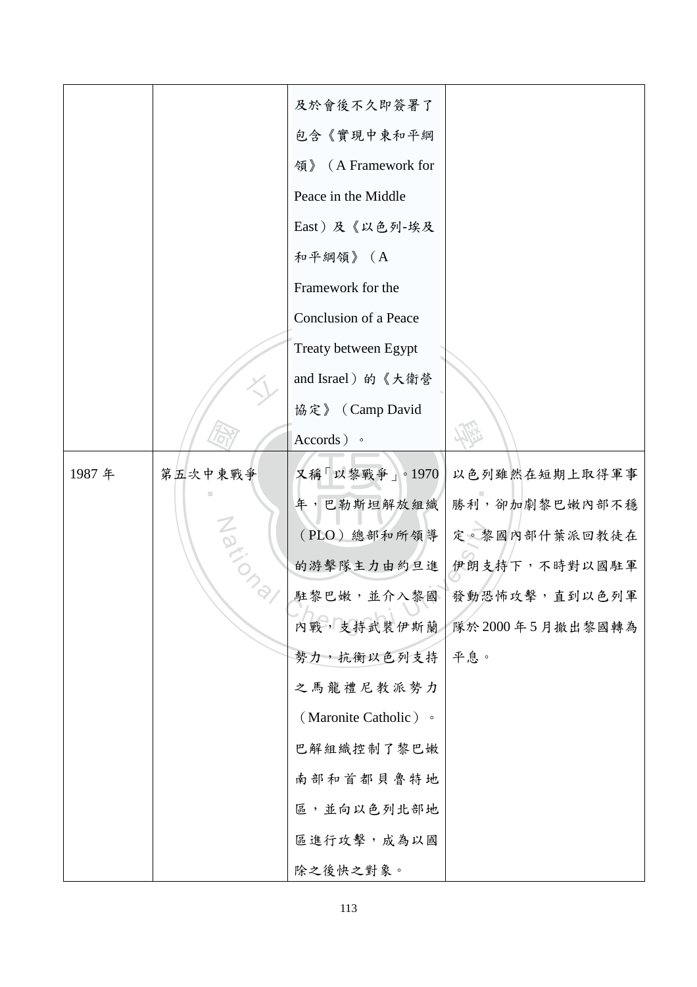|       |         | 及於會後不久即簽署了             |                 |
|-------|---------|------------------------|-----------------|
|       |         | 包含《實現中東和平綱             |                 |
|       |         | (A Framework for<br>領》 |                 |
|       |         | Peace in the Middle    |                 |
|       |         | East)及《以色列-埃及          |                 |
|       |         | 和平綱領》(A                |                 |
|       |         | Framework for the      |                 |
|       |         | Conclusion of a Peace  |                 |
|       |         | Treaty between Egypt   |                 |
|       |         | and Israel) 的《大衛營      |                 |
|       |         | 協定》 (Camp David        |                 |
|       |         | $\text{According to }$ |                 |
| 1987年 | 第五次中東戰爭 | 又稱「以黎戰爭」。1970          | 以色列雖然在短期上取得軍事   |
|       |         | 年,巴勒斯坦解放組織             | 勝利,卻加劇黎巴嫩內部不穩   |
|       |         | (PLO) 總部和所領導           | 定。黎國內部什葉派回教徒在   |
|       | Nation  | 的游擊隊主力由約旦進             | 伊朗支持下,不時對以國駐軍   |
|       |         | 駐黎巴嫩,並介入黎國             | 發動恐怖攻擊,直到以色列軍   |
|       |         | 內戰,支持武裝伊斯蘭             | 隊於2000年5月撤出黎國轉為 |
|       |         | 勢力,抗衡以色列支持             | 平息。             |
|       |         | 之馬龍禮尼教派勢力              |                 |
|       |         | (Maronite Catholic) •  |                 |
|       |         | 巴解組織控制了黎巴嫩             |                 |
|       |         | 南部和首都貝魯特地              |                 |
|       |         | 區,並向以色列北部地             |                 |
|       |         | 區進行攻擊, 成為以國            |                 |
|       |         | 除之後快之對象。               |                 |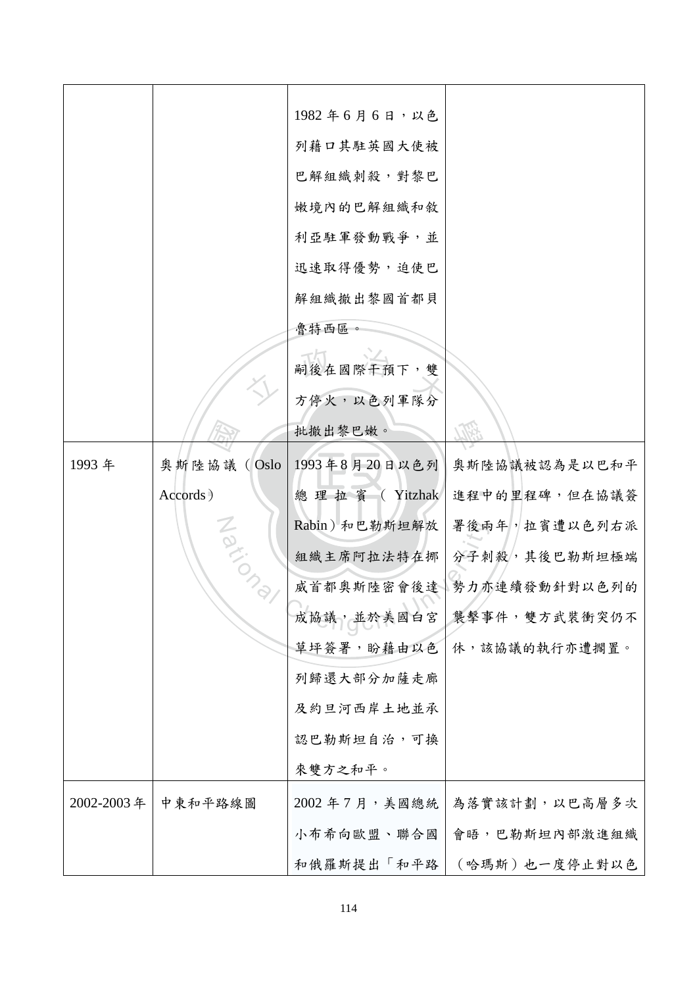|            |                | 1982年6月6日,以色  |                |
|------------|----------------|---------------|----------------|
|            |                | 列藉口其駐英國大使被    |                |
|            |                |               |                |
|            |                | 巴解組織刺殺,對黎巴    |                |
|            |                | 嫩境内的巴解組織和敘    |                |
|            |                | 利亞駐軍發動戰爭,並    |                |
|            |                | 迅速取得優勢,迫使巴    |                |
|            |                | 解組織撤出黎國首都貝    |                |
|            |                | 魯特西區。         |                |
|            |                | 嗣後在國際干預下,雙    |                |
|            |                | 方停火,以色列軍隊分    |                |
|            |                | 批撤出黎巴嫩。       |                |
| 1993年      | 奥斯陸協議<br>(Oslo | 1993年8月20日以色列 | 奥斯陸協議被認為是以巴和平  |
|            | Accords)       | 總理拉賓 (Yitzhak | 進程中的里程碑,但在協議簽  |
|            |                | Rabin)和巴勒斯坦解放 | 署後兩年, 拉賓遭以色列右派 |
|            | Nations        | 組織主席阿拉法特在挪    | 分子刺殺,其後巴勒斯坦極端  |
|            |                | 威首都奥斯陸密會後達    | 勢力亦連續發動針對以色列的  |
|            |                | 成協議,並於美國白宮    | 襲擊事件,雙方武裝衝突仍不  |
|            |                | 草坪簽署,盼藉由以色    | 休,該協議的執行亦遭擱置。  |
|            |                | 列歸還大部分加薩走廊    |                |
|            |                | 及約旦河西岸土地並承    |                |
|            |                | 認巴勒斯坦自治,可換    |                |
|            |                | 來雙方之和平。       |                |
| 2002-2003年 | 中東和平路線圖        | 2002年7月,美國總統  | 為落實該計劃,以巴高層多次  |
|            |                | 小布希向歐盟、聯合國    | 會晤,巴勒斯坦內部激進組織  |
|            |                | 和俄羅斯提出「和平路    | (哈瑪斯)也一度停止對以色  |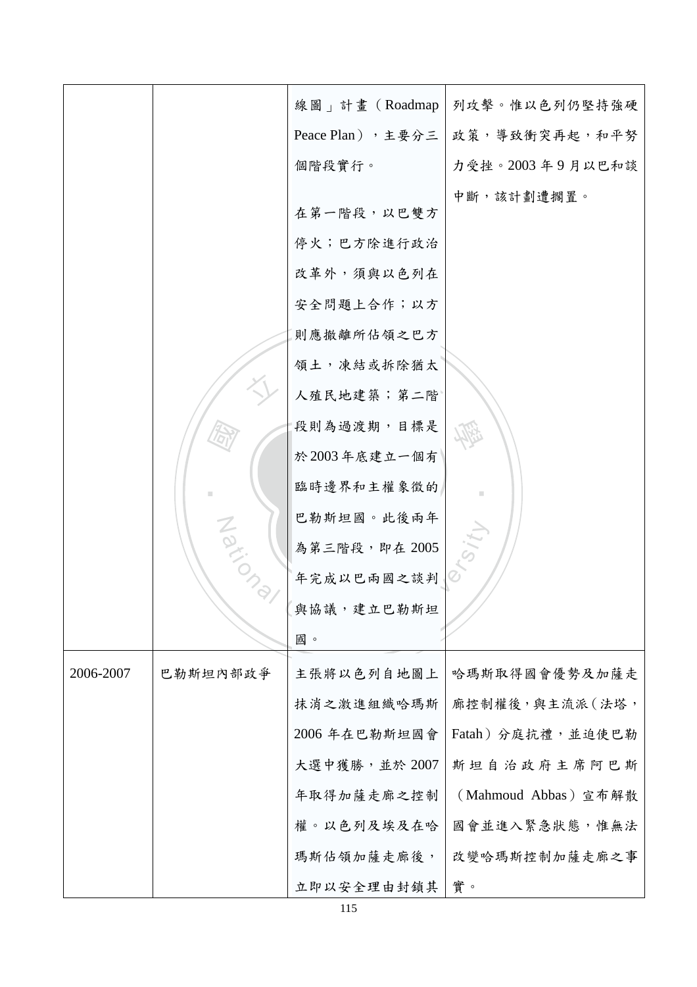|           |          | 線圖」計畫 (Roadmap    | 列攻擊。惟以色列仍堅持強硬        |
|-----------|----------|-------------------|----------------------|
|           |          | Peace Plan), 主要分三 | 政策,導致衝突再起,和平努        |
|           |          | 個階段實行。            | 力受挫。2003年9月以巴和談      |
|           |          |                   | 中斷,該計劃遭擱置。           |
|           |          | 在第一階段,以巴雙方        |                      |
|           |          | 停火;巴方除進行政治        |                      |
|           |          | 改革外,須與以色列在        |                      |
|           |          | 安全問題上合作;以方        |                      |
|           |          | 則應撤離所佔領之巴方        |                      |
|           |          | 領土,凍結或拆除猶太        |                      |
|           |          | 人殖民地建築;第二階        |                      |
|           |          | 段則為過渡期,目標是        |                      |
|           |          | 於2003年底建立一個有      |                      |
|           |          | 臨時邊界和主權象徵的        |                      |
|           |          | 巴勒斯坦國。此後兩年        |                      |
|           | Nation   | 為第三階段,即在2005      |                      |
|           |          | 年完成以巴兩國之談判        |                      |
|           |          | 與協議,建立巴勒斯坦        |                      |
|           |          | 國。                |                      |
| 2006-2007 | 巴勒斯坦内部政爭 | 主張將以色列自地圖上        | 哈瑪斯取得國會優勢及加薩走        |
|           |          | 抹消之激進組織哈瑪斯        | 廊控制權後,與主流派(法塔,       |
|           |          | 2006年在巴勒斯坦國會      | Fatah)分庭抗禮,並迫使巴勒     |
|           |          | 大選中獲勝,並於 2007     | 斯坦自治政府主席阿巴斯          |
|           |          | 年取得加薩走廊之控制        | (Mahmoud Abbas) 宣布解散 |
|           |          | 權。以色列及埃及在哈        | 國會並進入緊急狀態,惟無法        |
|           |          | 瑪斯佔領加薩走廊後,        | 改變哈瑪斯控制加薩走廊之事        |
|           |          | 立即以安全理由封鎖其        | 實。                   |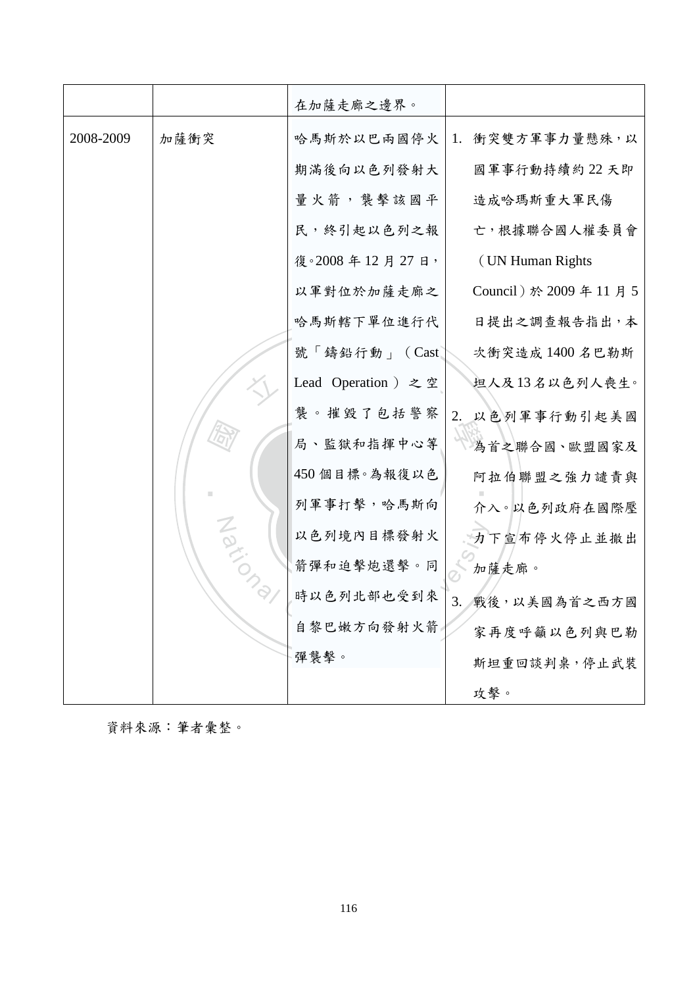|           |        | 在加薩走廊之邊界。           |                          |
|-----------|--------|---------------------|--------------------------|
| 2008-2009 | 加薩衝突   | 哈馬斯於以巴兩國停火          | 衝突雙方軍事力量懸殊,以<br>1.       |
|           |        | 期滿後向以色列發射大          | 國軍事行動持續約22天即             |
|           |        | 量火箭, 襲擊該國平          | 造成哈瑪斯重大軍民傷               |
|           |        | 民,終引起以色列之報          | 亡,根據聯合國人權委員會             |
|           |        | 復。2008年12月27日,      | (UN Human Rights)        |
|           |        | 以軍對位於加薩走廊之          | Council) 於 2009 年 11 月 5 |
|           |        | 哈馬斯轄下單位進行代          | 日提出之調查報告指出,本             |
|           |        | 號「鑄鉛行動」 (Cast       | 次衝突造成 1400 名巴勒斯          |
|           |        | Lead Operation ) 之空 | 坦人及13名以色列人喪生。            |
|           |        | 襲。摧毀了包括警察           | 2. 以色列軍事行動引起美國           |
|           |        | 局、監獄和指揮中心等          | 為首之聯合國、歐盟國家及             |
|           |        | 450 個目標。為報復以色       | 阿拉伯聯盟之強力譴責與              |
|           |        | 列軍事打擊,哈馬斯向          | 介入。以色列政府在國際壓             |
|           | Nation | 以色列境內目標發射火          | 力下宣布停火停止並撤出              |
|           |        | 箭彈和迫擊炮還擊。同          | 加薩走廊。                    |
|           |        | 時以色列北部也受到來          | 3. 戰後,以美國為首之西方國          |
|           |        | 自黎巴嫩方向發射火箭          | 家再度呼籲以色列與巴勒              |
|           |        | 彈襲擊。                | 斯坦重回談判桌,停止武裝             |
|           |        |                     | 攻擊。                      |

資料來源:筆者彙整。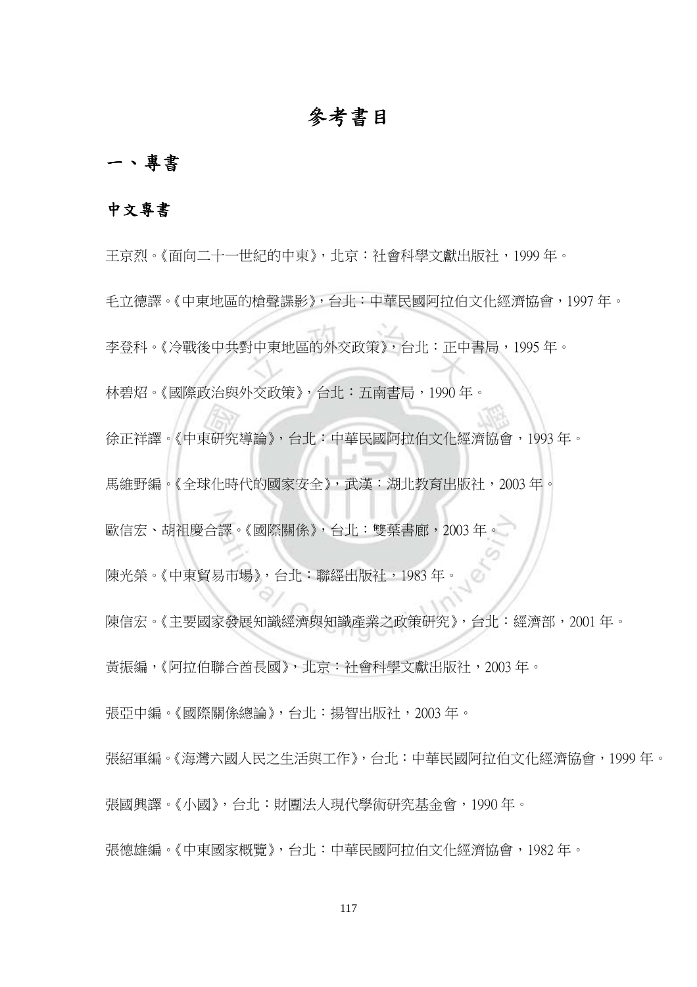## 參考書目

## 一、專書

#### 中文專書

『研究』<br>《化時 字金母。《*浔*敕夜里共到里界地画的外文政束*》*,旨儿·止里青<br><br>林碧炤。《國際政治與外交政策》,台北:五南書局,1990 年。 學 徐正祥譯。《中東研究導論》,台北:中華民國阿拉伯文化經濟協會,1993 年。 ‧ 馬維野編。《全球化時代的國家安全》,武漢:湖北教育出版社,2003 年。 歐信宏、胡祖慶合譯。《國際關係》,台北:雙葉書廊,2003 年。<br>陳光榮。《中東貿易市場》,台北:聯經出版社,1983 年。<br>陳信宏。《主要國家發展知識經濟與知識產業之政策研究》,台北 王京烈。《面向二十一世紀的中東》,北京:社會科學文獻出版社,1999 年。 毛立德譯。《中東地區的槍聲諜影》,台北:中華民國阿拉伯文化經濟協會,1997 年。 李登科。《冷戰後中共對中東地區的外交政策》,台北:正中書局,1995 年。 陳光榮。《中東貿易市場》,台北:聯經出版社,1983 年。 陳信宏。《主要國家發展知識經濟與知識產業之政策研究》,台北:經濟部,2001 年。 黃振編,《阿拉伯聯合酋長國》,北京:社會科學文獻出版社,2003 年。 張亞中編。《國際關係總論》,台北:揚智出版社,2003 年。 張紹軍編。《海灣六國人民之生活與工作》,台北:中華民國阿拉伯文化經濟協會,1999 年。 張國興譯。《小國》,台北:財團法人現代學術研究基金會,1990 年。 張德雄編。《中東國家概覽》,台北:中華民國阿拉伯文化經濟協會,1982 年。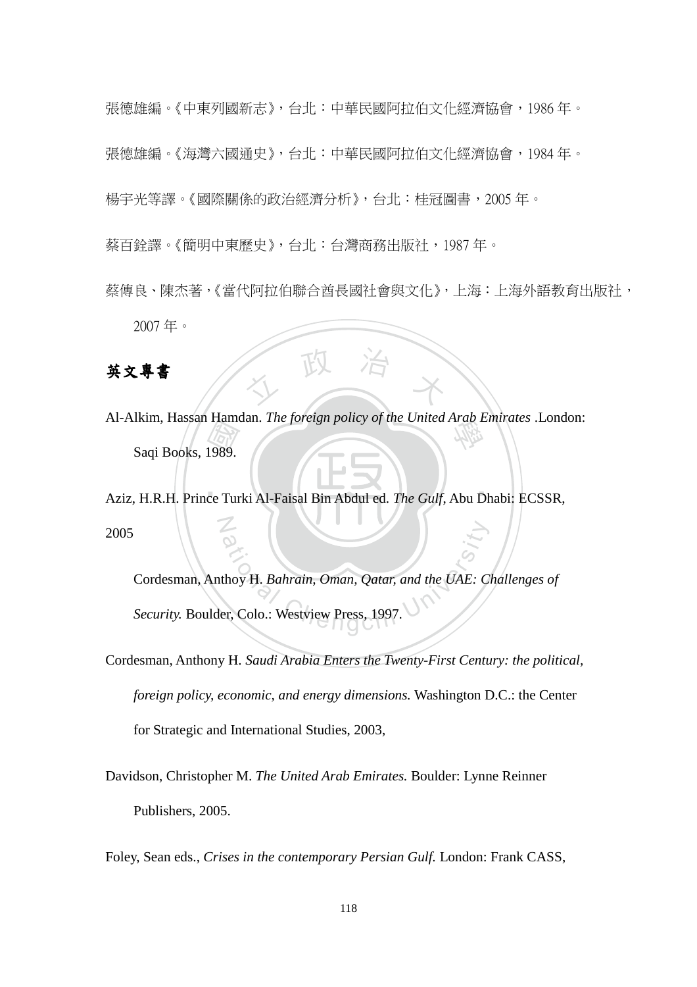張德雄編。《中東列國新志》,台北:中華民國阿拉伯文化經濟協會,1986 年。 張德雄編。《海灣六國通史》,台北:中華民國阿拉伯文化經濟協會,1984 年。 楊宇光等譯。《國際關係的政治經濟分析》,台北:桂冠圖書,2005 年。 蔡百銓譯。《簡明中東歷史》,台北:台灣商務出版社,1987 年。

蔡傳良、陳杰著,《當代阿拉伯聯合酋長國社會與文化》,上海:上海外語教育出版社, 2007 年。

英文專書

Transference<br>1989.<br>ce Tur Al-Alkim, Hassan Hamdan. *The foreign policy of the United Arab Emirates* .London:<br>Sagi Books, 1989 Saqi Books, 1989.

人 政 治 木

‧ $\overline{P}$ N Aziz, H.R.H. Prince Turki Al-Faisal Bin Abdul ed. *The Gulf*, Abu Dhabi: ECSSR, 2005

ational Chengchi University Chengchi University<br>
Chengchi University Chengchi University<br>
Chengchi University Press, 1997. Cordesman, Anthoy H. *Bahrain, Oman, Qatar, and the UAE: Challenges of Security.* Boulder, Colo.: Westview Press, 1997.

Cordesman, Anthony H. *Saudi Arabia Enters the Twenty-First Century: the political, foreign policy, economic, and energy dimensions.* Washington D.C.: the Center for Strategic and International Studies, 2003,

Davidson, Christopher M. *The United Arab Emirates.* Boulder: Lynne Reinner Publishers, 2005.

Foley, Sean eds., *Crises in the contemporary Persian Gulf.* London: Frank CASS,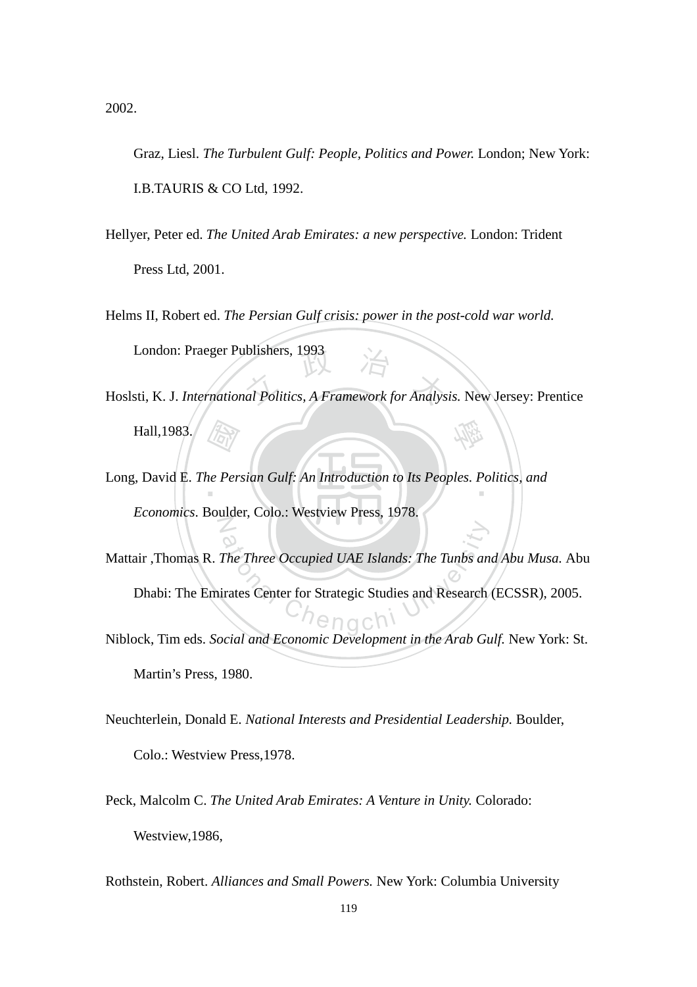2002.

Graz, Liesl. *The Turbulent Gulf: People, Politics and Power.* London; New York: I.B.TAURIS & CO Ltd, 1992.

- Hellyer, Peter ed. *The United Arab Emirates: a new perspective.* London: Trident Press Ltd, 2001.
- Helms II, Robert ed. *The Persian Gulf crisis: power in the post-cold war world.* London: Praeger Publishers, 1993
- London: Praeger Publishers, 1993<br>Hoslsti, K. J. *International Politics, A Framework for Analysis*. New Jersey: Prentice 學 Hall,1983.
- *(Farry*<br>12 Person<br>12 Person Long, David E. *The Persian Gulf: An Introduction to Its Peoples. Politics, and* N *Economics*. Boulder, Colo.: Westview Press, 1978.
- The Three Occupied UAE Islands: The Tunbs and<br>
irates Center for Strategic Studies and Research Mattair ,Thomas R. *The Three Occupied UAE Islands: The Tunbs and Abu Musa.* Abu Dhabi: The Emirates Center for Strategic Studies and Research (ECSSR), 2005.
- Niblock, Tim eds. *Social and Economic Development in the Arab Gulf.* New York: St. Martin's Press, 1980.
- Neuchterlein, Donald E. *National Interests and Presidential Leadership.* Boulder, Colo.: Westview Press,1978.
- Peck, Malcolm C. *The United Arab Emirates: A Venture in Unity.* Colorado: Westview,1986,

Rothstein, Robert. *Alliances and Small Powers.* New York: Columbia University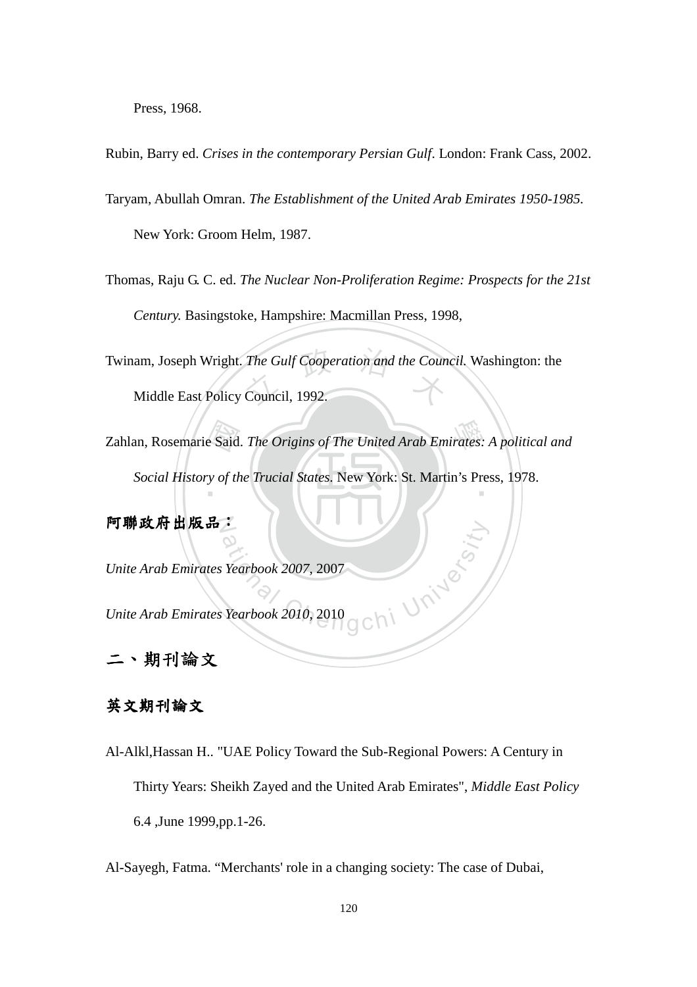Press, 1968.

Rubin, Barry ed. *Crises in the contemporary Persian Gulf*. London: Frank Cass, 2002.

Taryam, Abullah Omran. *The Establishment of the United Arab Emirates 1950-1985.*  New York: Groom Helm, 1987.

Thomas, Raju G. C. ed. *The Nuclear Non-Proliferation Regime: Prospects for the 21st Century.* Basingstoke, Hampshire: Macmillan Press, 1998,

Twinam, Joseph Wright. *The Gulf Cooperation and the Council*. Washington: the<br>Middle East Policy Council, 1992.

Middle East Policy Council, 1992.

Zahlan, Rosemarie Said. *The Origins of The United Arab Emirates: A political and Social History of the Trucial States.* New York: St. Martin's Press, 1978. Social History of the Trucial States. New York: St. Martin's Press, 1978.

N 阿聯政府出版品:

*Unite Arab Emirates Yearbook 2007*, 2007

gchi University *Unite Arab Emirates Yearbook 2010*, 2010

二、期刊論文

### 英文期刊論文

Al-Alkl,Hassan H.. "UAE Policy Toward the Sub-Regional Powers: A Century in Thirty Years: Sheikh Zayed and the United Arab Emirates", *Middle East Policy* 6.4 ,June 1999,pp.1-26.

Al-Sayegh, Fatma. "Merchants' role in a changing society: The case of Dubai,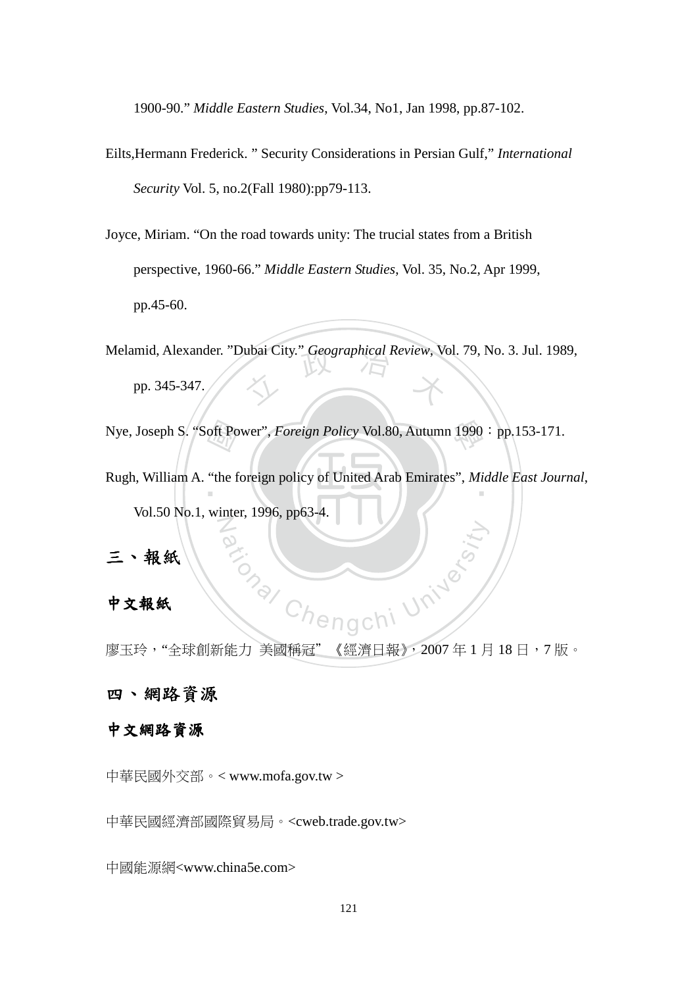1900-90." *Middle Eastern Studies*, Vol.34, No1, Jan 1998, pp.87-102.

- Eilts,Hermann Frederick. " Security Considerations in Persian Gulf," *International Security* Vol. 5, no.2(Fall 1980):pp79-113.
- Joyce, Miriam. "On the road towards unity: The trucial states from a British perspective, 1960-66." *Middle Eastern Studies*, Vol. 35, No.2, Apr 1999, pp.45-60.

Melamid, Alexander. "Dubai City." *Geographical Review*, Vol. 79, No. 3. Jul. 1989,<br>pp. 345-347.

pp. 345-347.

Nye, Joseph S. "Soft Power", *Foreign Policy* Vol.80, Autumn 1990: pp.153-171.

oft Po<br>"the f Rugh, William A. "the foreign policy of United Arab Emirates", *Middle East Journal*, N Vol.50 No.1, winter, 1996, pp63-4.

## 三、報紙

#### 中文報紙

Chengchi University 廖玉玲, "全球創新能力 美國稱冠"《經濟日報》, 2007年1月18日, 7版。

#### 四、網路資源

#### 中文網路資源

中華民國外交部。< www.mofa.gov.tw >

中華民國經濟部國際貿易局。<cweb.trade.gov.tw>

中國能源網<www.china5e.com>